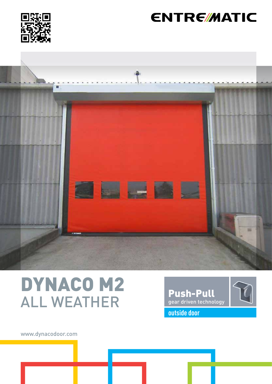

# **ENTRE/MATIC**



# DYNACO M2 ALL WEATHER



www.dynacodoor.com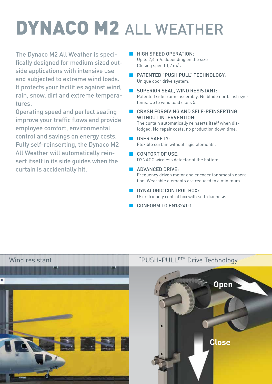# DYNACO M2 ALL WEATHER

The Dynaco M2 All Weather is specifically designed for medium sized outside applications with intensive use and subjected to extreme wind loads. It protects your facilities against wind, rain, snow, dirt and extreme temperatures.

Operating speed and perfect sealing improve your traffic flows and provide employee comfort, environmental control and savings on energy costs. Fully self-reinserting, the Dynaco M2 All Weather will automatically reinsert itself in its side guides when the curtain is accidentally hit.

- **B** HIGH SPEED OPERATION: Up to 2,4 m/s depending on the size Closing speed 1,2 m/s
- PATENTED "PUSH PULL" TECHNOLOGY: Unique door drive system.
- SUPERIOR SEAL, WIND RESISTANT: Patented side frame assembly. No blade nor brush systems. Up to wind load class 5.
- CRASH FORGIVING AND SELF-REINSERTING WITHOUT INTERVENTION: The curtain automatically reinserts ifself when dislodged. No repair costs, no production down time.

## USER SAFETY:

Flexible curtain without rigid elements.

- COMFORT OF USE: DYNACO wireless detector at the bottom.
- **ADVANCED DRIVE:** Frequency driven motor and encoder for smooth operation. Wearable elements are reduced to a minimum.
- **DYNALOGIC CONTROL BOX:** User-friendly control box with self-diagnosis.
- CONFORM TO EN13241-1



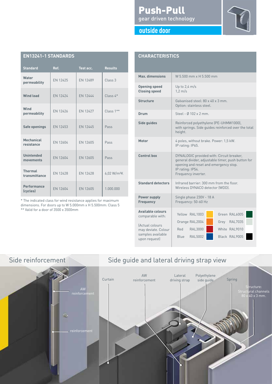### Push-Pull gear driven technology



| outside door |  |  |
|--------------|--|--|
|              |  |  |
|              |  |  |

| <b>EN13241-1 STANDARDS</b>      |          |           |                         |  |  |
|---------------------------------|----------|-----------|-------------------------|--|--|
| <b>Standard</b>                 | Ref.     | Test acc. | <b>Results</b>          |  |  |
| Water<br>permeability           | EN 12425 | EN 12489  | Class 3                 |  |  |
| <b>Wind load</b>                | EN 12424 | EN 12444  | $Class 4*$              |  |  |
| Wind<br>permeability            | EN 12426 | EN 12427  | Class 1**               |  |  |
| Safe openings                   | EN 12453 | EN 12445  | Pass                    |  |  |
| <b>Mechanical</b><br>resistance | EN 12604 | EN 12605  | Pass                    |  |  |
| <b>Unintended</b><br>movements  | EN 12604 | EN 12605  | Pass                    |  |  |
| <b>Thermal</b><br>transmittance | FN 12428 | FN 12428  | 6,02 W/m <sup>2</sup> K |  |  |
| <b>Performance</b><br>(cycles)  | EN 12604 | EN 12605  | 1.000.000               |  |  |

\* The indicated class for wind resistance applies for maximum dimensions. For doors up to W 5.000mm x H 5.500mm: Class 5

\*\* Valid for a door of 3500 x 3500mm

| <b>CHARACTERISTICS</b>                                                       |                                                                                                                                                                                     |  |  |  |
|------------------------------------------------------------------------------|-------------------------------------------------------------------------------------------------------------------------------------------------------------------------------------|--|--|--|
| Max. dimensions                                                              | W 5.500 mm x H 5.500 mm                                                                                                                                                             |  |  |  |
| <b>Opening speed</b><br><b>Closing speed</b>                                 | Up to $2,4$ m/s<br>$1,2 \, \text{m/s}$                                                                                                                                              |  |  |  |
| <b>Structure</b>                                                             | Galvanised steel $\cdot$ 80 x 40 x 3 mm<br>Option: stainless steel.                                                                                                                 |  |  |  |
| Drum                                                                         | Steel - Ø 102 x 2 mm.                                                                                                                                                               |  |  |  |
| <b>Side guides</b>                                                           | Reinforced polyethylene (PE-UHMW1000),<br>with springs. Side guides reinforced over the total<br>height.                                                                            |  |  |  |
| Motor                                                                        | 4 poles, without brake. Power: 1,5 kW.<br>IP rating: IP65.                                                                                                                          |  |  |  |
| <b>Control box</b>                                                           | DYNALOGIC provided with: Circuit breaker,<br>general divider, adjustable timer, push button for<br>opening and reset and emergency stop.<br>IP rating: IP54.<br>Frequency inverter. |  |  |  |
| <b>Standard detectors</b>                                                    | Infrared barrier: 300 mm from the floor.<br>Wireless DYNACO detector (WDD).                                                                                                         |  |  |  |
| <b>Power supply</b><br><b>Frequency</b>                                      | Single phase 230V - 18 A<br>Frequency: 50-60 Hz                                                                                                                                     |  |  |  |
| <b>Available colours</b><br>comparable with:                                 | Yellow RAL1003<br>Green RAL6005                                                                                                                                                     |  |  |  |
| (Actual colours<br>may deviate. Colour<br>samples available<br>upon request) | Orange RAL2004<br>Grey RAL7035<br><b>RAL3000</b><br>White RAL9010<br>Red<br>Blue RAL5002<br>Black RAL9005                                                                           |  |  |  |



## Side reinforcement Side guide and lateral driving strap view